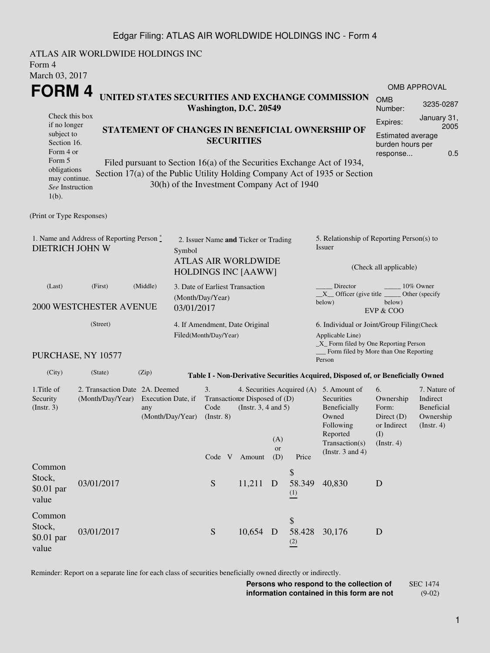## Edgar Filing: ATLAS AIR WORLDWIDE HOLDINGS INC - Form 4

ATLAS AIR WORLDWIDE HOLDINGS INC Form 4 March 03, 2017 **FORM 4** Check this box if no longer subject to Section 16. Form 4 or Form 5 obligations may continue. *See* Instruction 1(b). **UNITED STATES SECURITIES AND EXCHANGE COMMISSION Washington, D.C. 20549 STATEMENT OF CHANGES IN BENEFICIAL OWNERSHIP OF SECURITIES** Filed pursuant to Section 16(a) of the Securities Exchange Act of 1934, Section 17(a) of the Public Utility Holding Company Act of 1935 or Section 30(h) of the Investment Company Act of 1940 OMB APPROVAL OMB Number: 3235-0287 Expires: January 31, 2005 Estimated average burden hours per response... 0.5 (Print or Type Responses) 1. Name and Address of Reporting Person  $\degree$ DIETRICH JOHN W 2. Issuer Name **and** Ticker or Trading Symbol ATLAS AIR WORLDWIDE HOLDINGS INC [AAWW] 5. Relationship of Reporting Person(s) to Issuer (Check all applicable) Director \_\_\_\_\_\_\_\_ 10% Owner  $X$ <sup>Officer</sup> (give title below) Other (specify below) EVP & COO (Last) (First) (Middle) 2000 WESTCHESTER AVENUE 3. Date of Earliest Transaction (Month/Day/Year) 03/01/2017 (Street) PURCHASE, NY 10577 4. If Amendment, Date Original Filed(Month/Day/Year) 6. Individual or Joint/Group Filing(Check Applicable Line) \_X\_ Form filed by One Reporting Person Form filed by More than One Reporting Person (City) (State) (Zip) **Table I - Non-Derivative Securities Acquired, Disposed of, or Beneficially Owned** 1.Title of Security (Instr. 3) 2. Transaction Date 2A. Deemed (Month/Day/Year) Execution Date, if any (Month/Day/Year) 3. Transaction Disposed of (D) Code (Instr. 8) 4. Securities Acquired (A) 5. Amount of (Instr. 3, 4 and 5) **Securities** Beneficially Owned Following Reported Transaction(s) (Instr. 3 and 4) 6. Ownership Form: Direct (D) or Indirect (I) (Instr. 4) 7. Nature of Indirect Beneficial Ownership (Instr. 4) Code V Amount  $(A)$ or (D) Price Common Stock, \$0.01 par value 03/01/2017 S 11,211 D \$ 58.349 (1) 40,830 D Common Stock, \$0.01 par value 03/01/2017 S 10.654 D \$ 58.428 (2) 30,176 D

Reminder: Report on a separate line for each class of securities beneficially owned directly or indirectly.

**Persons who respond to the collection of information contained in this form are not** SEC 1474 (9-02)

1